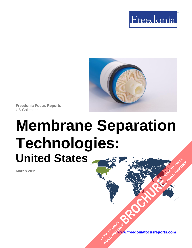



**Freedonia Focus Reports** US Collection

# **Membrane Separation Technologies: United States [BROCHURE](https://www.freedoniafocusreports.com/Membrane-Separation-Technologies-United-States-FF35047/?progid=89541) CLICK TO ORDER FULL REPORT**

**March 2019**

**[www.freedoniafocusreports.com](https://www.freedoniafocusreports.com/redirect.asp?progid=89534&url=/)** CLICK TO ORDER **FULL REPORT**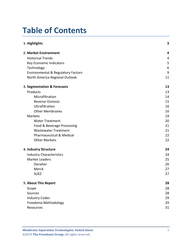# **Table of Contents**

| 1. Highlights                                 | 3  |
|-----------------------------------------------|----|
| 2. Market Environment                         | 4  |
| <b>Historical Trends</b>                      | 4  |
| Key Economic Indicators                       | 5  |
| Technology                                    | 6  |
| <b>Environmental &amp; Regulatory Factors</b> | 9  |
| North America Regional Outlook                | 11 |
| 3. Segmentation & Forecasts                   | 13 |
| Products                                      | 13 |
| Microfiltration                               | 14 |
| <b>Reverse Osmosis</b>                        | 15 |
| Ultrafiltration                               | 16 |
| <b>Other Membranes</b>                        | 16 |
| Markets                                       | 19 |
| <b>Water Treatment</b>                        | 20 |
| Food & Beverage Processing                    | 21 |
| <b>Wastewater Treatment</b>                   | 21 |
| <b>Pharmaceutical &amp; Medical</b>           | 22 |
| <b>Other Markets</b>                          | 22 |
| 4. Industry Structure                         | 24 |
| <b>Industry Characteristics</b>               | 24 |
| <b>Market Leaders</b>                         | 25 |
| Danaher                                       | 26 |
| Merck                                         | 27 |
| <b>SUEZ</b>                                   | 27 |
| 5. About This Report                          | 28 |
| Scope                                         | 28 |
| Sources                                       | 28 |
| <b>Industry Codes</b>                         | 29 |
| Freedonia Methodology                         | 29 |
| Resources                                     | 31 |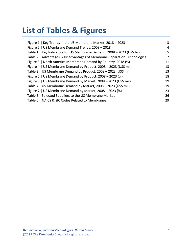# **List of Tables & Figures**

| Figure 1   Key Trends in the US Membrane Market, 2018 - 2023             | 3  |
|--------------------------------------------------------------------------|----|
| Figure 2   US Membrane Demand Trends, 2008 - 2018                        | 4  |
| Table 1   Key Indicators for US Membrane Demand, 2008 - 2023 (US\$ bil)  | 5  |
| Table 2   Advantages & Disadvantages of Membrane Separation Technologies | 7  |
| Figure 3   North America Membrane Demand by Country, 2018 (%)            | 11 |
| Figure 4   US Membrane Demand by Product, 2008 - 2023 (US\$ mil)         | 13 |
| Table 3   US Membrane Demand by Product, 2008 - 2023 (US\$ mil)          | 13 |
| Figure 5   US Membrane Demand by Product, 2008 - 2023 (%)                | 18 |
| Figure 6   US Membrane Demand by Market, 2008 - 2023 (US\$ mil)          | 19 |
| Table 4   US Membrane Demand by Market, 2008 - 2023 (US\$ mil)           | 19 |
| Figure 7   US Membrane Demand by Market, 2008 - 2023 (%)                 | 23 |
| Table 5   Selected Suppliers to the US Membrane Market                   | 26 |
| Table 6   NAICS & SIC Codes Related to Membranes                         | 29 |
|                                                                          |    |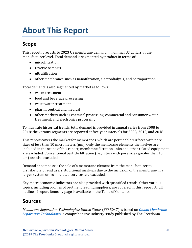# <span id="page-3-1"></span><span id="page-3-0"></span>**Scope**

This report forecasts to 2023 US membrane demand in nominal US dollars at the manufacturer level. Total demand is segmented by product in terms of:

- microfiltration
- reverse osmosis
- ultrafiltration
- other membranes such as nanofiltration, electrodialysis, and pervaporation

Total demand is also segmented by market as follows:

- water treatment
- food and beverage processing
- wastewater treatment
- pharmaceutical and medical
- other markets such as chemical processing, commercial and consumer water treatment, and electronics processing

To illustrate historical trends, total demand is provided in annual series from 2008 to 2018; the various segments are reported at five-year intervals for 2008, 2013, and 2018.

This report covers the market for membranes, which are permeable surfaces with pore sizes of less than 10 micrometers (μm). Only the membrane elements themselves are included in the scope of this report; membrane filtration units and other related equipment are excluded. Conventional particle filtration (i.e., filters with pore sizes greater than 10 μm) are also excluded.

Demand encompasses the sale of a membrane element from the manufacturer to distributors or end users. Additional markups due to the inclusion of the membrane in a larger system or from related services are excluded.

Key macroeconomic indicators are also provided with quantified trends. Other various topics, including profiles of pertinent leading suppliers, are covered in this report. A full outline of report items by page is available in the Table of Contents.

# <span id="page-3-2"></span>**Sources**

*Membrane Separation Technologies: United States* (FF35047) is based on *[Global Membrane](http://www.freedoniagroup.com/DocumentDetails.aspx?ReferrerId=FL-FOCUS&studyid=3718)  [Separation Technologies,](http://www.freedoniagroup.com/DocumentDetails.aspx?ReferrerId=FL-FOCUS&studyid=3718)* a comprehensive industry study published by The Freedonia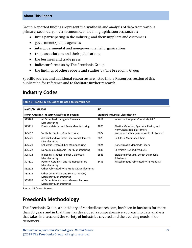Group. Reported findings represent the synthesis and analysis of data from various primary, secondary, macroeconomic, and demographic sources, such as:

- firms participating in the industry, and their suppliers and customers
- government/public agencies
- intergovernmental and non-governmental organizations
- trade associations and their publications
- the business and trade press
- indicator forecasts by The Freedonia Group
- the findings of other reports and studies by The Freedonia Group

Specific sources and additional resources are listed in the Resources section of this publication for reference and to facilitate further research.

# <span id="page-4-0"></span>**Industry Codes**

<span id="page-4-2"></span>

| Table 6   NAICS & SIC Codes Related to Membranes |                                                                           |                                           |                                                                         |  |
|--------------------------------------------------|---------------------------------------------------------------------------|-------------------------------------------|-------------------------------------------------------------------------|--|
| <b>NAICS/SCIAN 2007</b>                          |                                                                           | <b>SIC</b>                                |                                                                         |  |
| North American Industry Classification System    |                                                                           | <b>Standard Industrial Classification</b> |                                                                         |  |
| 325188                                           | All Other Basic Inorganic Chemical<br>Manufacturing                       | 2819                                      | Industrial Inorganic Chemicals, NEC                                     |  |
| 325211                                           | <b>Plastics Material and Resin Manufacturing</b>                          | 2821                                      | Plastics Materials, Synthetic Resins, and<br>Nonvulcanizable Elastomers |  |
| 325212                                           | Synthetic Rubber Manufacturing                                            | 2822                                      | Synthetic Rubber (Vulcanizable Elastomers)                              |  |
| 325220                                           | Artificial and Synthetic Fibers and Filaments<br>Manufacturing            | 2823                                      | Cellulosic Manmade Fibers                                               |  |
| 325221                                           | <b>Cellulosic Organic Fiber Manufacturing</b>                             | 2824                                      | Noncellulosic Manmade Fibers                                            |  |
| 325222                                           | Noncellulosic Organic Fiber Manufacturing                                 | 2830                                      | <b>Chemicals &amp; Allied Products</b>                                  |  |
| 325414                                           | Biological Product (except Diagnostic)<br>Manufacturing                   | 2836                                      | <b>Biological Products, Except Diagnostic</b><br>Substances             |  |
| 327110                                           | Pottery, Ceramics, and Plumbing Fixture<br>Manufacturing                  | 3496                                      | Miscellaneous Fabricated Wire Products                                  |  |
| 332618                                           | Other Fabricated Wire Product Manufacturing                               |                                           |                                                                         |  |
| 333318                                           | Other Commercial and Service Industry<br><b>Machinery Manufacturing</b>   |                                           |                                                                         |  |
| 333999                                           | All Other Miscellaneous General Purpose<br><b>Machinery Manufacturing</b> |                                           |                                                                         |  |

Source: US Census Bureau

# <span id="page-4-1"></span>**Freedonia Methodology**

The Freedonia Group, a subsidiary of MarketResearch.com, has been in business for more than 30 years and in that time has developed a comprehensive approach to data analysis that takes into account the variety of industries covered and the evolving needs of our customers.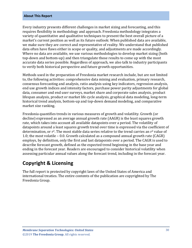Every industry presents different challenges in market sizing and forecasting, and this requires flexibility in methodology and approach. Freedonia methodology integrates a variety of quantitative and qualitative techniques to present the best overall picture of a market's current position as well as its future outlook: When published data are available, we make sure they are correct and representative of reality. We understand that published data often have flaws either in scope or quality, and adjustments are made accordingly. Where no data are available, we use various methodologies to develop market sizing (both top-down and bottom-up) and then triangulate those results to come up with the most accurate data series possible. Regardless of approach, we also talk to industry participants to verify both historical perspective and future growth opportunities.

Methods used in the preparation of Freedonia market research include, but are not limited to, the following activities: comprehensive data mining and evaluation, primary research, consensus forecasting and analysis, ratio analysis using key indicators, regression analysis, end use growth indices and intensity factors, purchase power parity adjustments for global data, consumer and end user surveys, market share and corporate sales analysis, product lifespan analysis, product or market life cycle analysis, graphical data modeling, long-term historical trend analysis, bottom-up and top-down demand modeling, and comparative market size ranking.

Freedonia quantifies trends in various measures of growth and volatility. Growth (or decline) expressed as an average annual growth rate (AAGR) is the least squares growth rate, which takes into account all available datapoints over a period. The volatility of datapoints around a least squares growth trend over time is expressed via the coefficient of determination, or  $r^2$ . The most stable data series relative to the trend carries an  $r^2$  value of 1.0; the most volatile – 0.0. Growth calculated as a compound annual growth rate (CAGR) employs, by definition, only the first and last datapoints over a period. The CAGR is used to describe forecast growth, defined as the expected trend beginning in the base year and ending in the forecast year. Readers are encouraged to consider historical volatility when assessing particular annual values along the forecast trend, including in the forecast year.

## **Copyright & Licensing**

The full report is protected by copyright laws of the United States of America and international treaties. The entire contents of the publication are copyrighted by The Freedonia Group.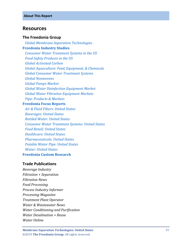## <span id="page-6-0"></span>**Resources**

#### **The Freedonia Group**

 *[Global Membrane Separation Technologies](http://www.freedoniagroup.com/DocumentDetails.aspx?ReferrerId=FL-FOCUS&studyid=3718)* **[Freedonia Industry Studies](http://www.freedoniagroup.com/Home.aspx?ReferrerId=FL-Focus)**  *[Consumer Water Treatment Systems in the US](http://www.freedoniagroup.com/DocumentDetails.aspx?ReferrerId=FL-FOCUS&studyid=3567) [Food Safety Products in the US](http://www.freedoniagroup.com/DocumentDetails.aspx?ReferrerId=FL-FOCUS&studyid=3613) [Global Activated Carbon](http://www.freedoniagroup.com/DocumentDetails.aspx?ReferrerId=FL-FOCUS&studyid=3692) [Global Aquaculture: Feed, Equipment, & Chemicals](http://www.freedoniagroup.com/DocumentDetails.aspx?ReferrerId=FL-FOCUS&studyid=3618) [Global Consumer Water Treatment Systems](http://www.freedoniagroup.com/DocumentDetails.aspx?ReferrerId=FL-FOCUS&studyid=3651) [Global Nonwovens](http://www.freedoniagroup.com/DocumentDetails.aspx?ReferrerId=FL-FOCUS&studyid=3693) [Global Pumps Market](http://www.freedoniagroup.com/DocumentDetails.aspx?ReferrerId=FL-FOCUS&studyid=3625) [Global Water Disinfection Equipment Market](http://www.freedoniagroup.com/DocumentDetails.aspx?ReferrerId=FL-FOCUS&studyid=3563) [Global Water Filtration Equipment Markets](http://www.freedoniagroup.com/DocumentDetails.aspx?ReferrerId=FL-FOCUS&studyid=3568) Pipe: [Products & Markets](http://www.freedoniagroup.com/DocumentDetails.aspx?ReferrerId=FL-FOCUS&studyid=3675)* **[Freedonia Focus Reports](https://www.freedoniafocusreports.com/redirect.asp?progid=89534&url=/)**

 *[Air & Fluid Filters: United States](https://www.freedoniafocusreports.com/Air-Fluid-Filters-United-States-FF70012/?progid=89534) [Beverages: United States](https://www.freedoniafocusreports.com/Beverages-United-States-FF10023/?progid=89534) [Bottled Water: United States](https://www.freedoniafocusreports.com/Bottled-Water-United-States-FF10011/?progid=89534) [Consumer Water Treatment Systems: United States](https://www.freedoniafocusreports.com/Consumer-Water-Treatment-Systems-United-States-FF90023/?progid=89534) [Food Retail: United States](https://www.freedoniafocusreports.com/Food-Retail-United-States-FF10061/?progid=89534) [Healthcare: United States](https://www.freedoniafocusreports.com/Healthcare-United-States-FF40017/?progid=89534) [Pharmaceuticals: United States](https://www.freedoniafocusreports.com/Pharmaceuticals-United-States-FF40040/?progid=89534) [Potable Water Pipe: United States](https://www.freedoniafocusreports.com/Potable-Water-Pipe-United-States-FF60112/?progid=89534) [Water: United States](https://www.freedoniafocusreports.com/Water-United-States-FF95025/?progid=89534)* **[Freedonia Custom Research](http://www.freedoniagroup.com/CustomResearch.aspx?ReferrerId=FL-Focus)**

### **Trade Publications**

*Beverage Industry Filtration + Separation Filtration News Food Processing Process Industry Informer Processing Magazine Treatment Plant Operator Water & Wastewater News Water Conditioning and Purification Water Desalination + Reuse Water Online*